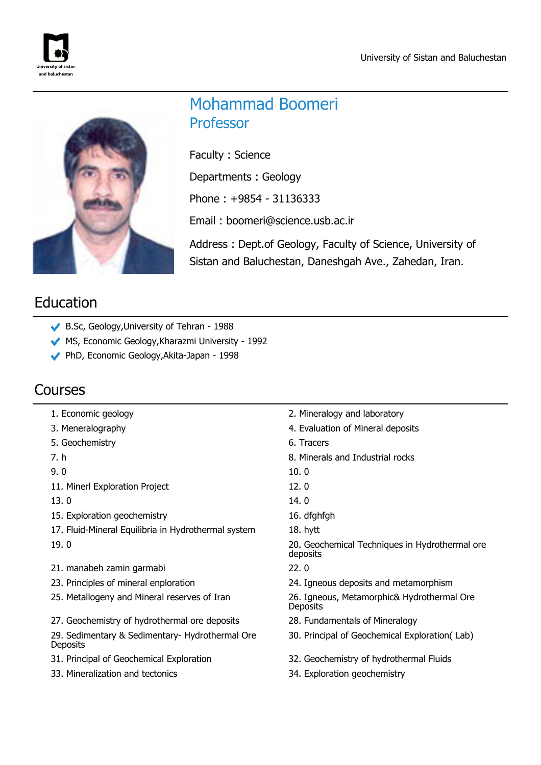



# Mohammad Boomeri Professor

Faculty : Science

Departments : Geology

Phone : +9854 - 31136333

Email : boomeri@science.usb.ac.ir

Address : Dept.of Geology, Faculty of Science, University of Sistan and Baluchestan, Daneshgah Ave., Zahedan, Iran.

# Education

- B.Sc, Geology,University of Tehran 1988
- MS, Economic Geology,Kharazmi University 1992
- PhD, Economic Geology,Akita-Japan 1998

## Courses

- 
- 
- 5. Geochemistry 6. Tracers
- 
- 

11. Minerl Exploration Project 12. 0

- 
- 15. Exploration geochemistry and the state of the 16. dfghfgh
- 17. Fluid-Mineral Equilibria in Hydrothermal system 18. hytt
- 
- 21. manabeh zamin garmabi 22. 0
- 
- 
- 27. Geochemistry of hydrothermal ore deposits 28. Fundamentals of Mineralogy

29. Sedimentary & Sedimentary- Hydrothermal Ore **Deposits** 

- 
- 33. Mineralization and tectonics 34. Exploration geochemistry
- 1. Economic geology 2. Mineralogy and laboratory
- 3. Meneralography 4. Evaluation of Mineral deposits
	-
- 7. h 8. Minerals and Industrial rocks
- 9. 0 10. 0
	-
- $13.0$  14. 0
	-
	-

19. 0 20. Geochemical Techniques in Hydrothermal ore deposits

- 
- 23. Principles of mineral enploration 24. Igneous deposits and metamorphism

25. Metallogeny and Mineral reserves of Iran 26. Igneous, Metamorphic& Hydrothermal Ore **Deposits** 

- 
- 30. Principal of Geochemical Exploration( Lab)
- 31. Principal of Geochemical Exploration 32. Geochemistry of hydrothermal Fluids
	-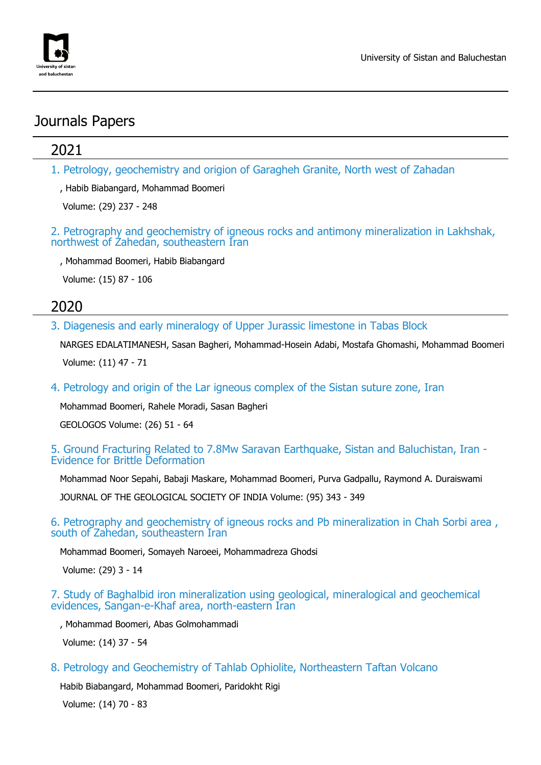

## Journals Papers

## 2021

1. Petrology, geochemistry and origion of Garagheh Granite, North west of Zahadan

, Habib Biabangard, Mohammad Boomeri

Volume: (29) 237 - 248

2. Petrography and geochemistry of igneous rocks and antimony mineralization in Lakhshak, northwest of Zahedan, southeastern Iran

, Mohammad Boomeri, Habib Biabangard

Volume: (15) 87 - 106

## 2020

3. Diagenesis and early mineralogy of Upper Jurassic limestone in Tabas Block

NARGES EDALATIMANESH, Sasan Bagheri, Mohammad-Hosein Adabi, Mostafa Ghomashi, Mohammad Boomeri Volume: (11) 47 - 71

4. Petrology and origin of the Lar igneous complex of the Sistan suture zone, Iran

Mohammad Boomeri, Rahele Moradi, Sasan Bagheri

GEOLOGOS Volume: (26) 51 - 64

#### 5. Ground Fracturing Related to 7.8Mw Saravan Earthquake, Sistan and Baluchistan, Iran - Evidence for Brittle Deformation

Mohammad Noor Sepahi, Babaji Maskare, Mohammad Boomeri, Purva Gadpallu, Raymond A. Duraiswami

JOURNAL OF THE GEOLOGICAL SOCIETY OF INDIA Volume: (95) 343 - 349

6. Petrography and geochemistry of igneous rocks and Pb mineralization in Chah Sorbi area , south of Zahedan, southeastern Iran

Mohammad Boomeri, Somayeh Naroeei, Mohammadreza Ghodsi

Volume: (29) 3 - 14

7. Study of Baghalbid iron mineralization using geological, mineralogical and geochemical evidences, Sangan-e-Khaf area, north-eastern Iran

, Mohammad Boomeri, Abas Golmohammadi

Volume: (14) 37 - 54

8. Petrology and Geochemistry of Tahlab Ophiolite, Northeastern Taftan Volcano

Habib Biabangard, Mohammad Boomeri, Paridokht Rigi

Volume: (14) 70 - 83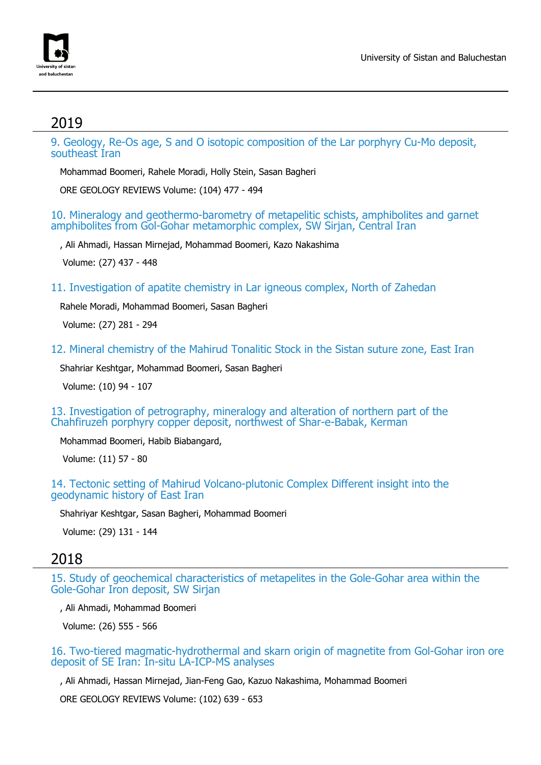

## 2019

9. Geology, Re-Os age, S and O isotopic composition of the Lar porphyry Cu-Mo deposit, southeast Iran

Mohammad Boomeri, Rahele Moradi, Holly Stein, Sasan Bagheri

ORE GEOLOGY REVIEWS Volume: (104) 477 - 494

#### 10. Mineralogy and geothermo-barometry of metapelitic schists, amphibolites and garnet amphibolites from Gol-Gohar metamorphic complex, SW Sirjan, Central Iran

, Ali Ahmadi, Hassan Mirnejad, Mohammad Boomeri, Kazo Nakashima

Volume: (27) 437 - 448

11. Investigation of apatite chemistry in Lar igneous complex, North of Zahedan

Rahele Moradi, Mohammad Boomeri, Sasan Bagheri

Volume: (27) 281 - 294

12. Mineral chemistry of the Mahirud Tonalitic Stock in the Sistan suture zone, East Iran

Shahriar Keshtgar, Mohammad Boomeri, Sasan Bagheri

Volume: (10) 94 - 107

13. Investigation of petrography, mineralogy and alteration of northern part of the Chahfiruzeh porphyry copper deposit, northwest of Shar-e-Babak, Kerman

Mohammad Boomeri, Habib Biabangard,

Volume: (11) 57 - 80

14. Tectonic setting of Mahirud Volcano-plutonic Complex Different insight into the geodynamic history of East Iran

Shahriyar Keshtgar, Sasan Bagheri, Mohammad Boomeri

Volume: (29) 131 - 144

### 2018

15. Study of geochemical characteristics of metapelites in the Gole-Gohar area within the Gole-Gohar Iron deposit, SW Sirjan

, Ali Ahmadi, Mohammad Boomeri

Volume: (26) 555 - 566

16. Two-tiered magmatic-hydrothermal and skarn origin of magnetite from Gol-Gohar iron ore deposit of SE Iran: In-situ LA-ICP-MS analyses

, Ali Ahmadi, Hassan Mirnejad, Jian-Feng Gao, Kazuo Nakashima, Mohammad Boomeri

ORE GEOLOGY REVIEWS Volume: (102) 639 - 653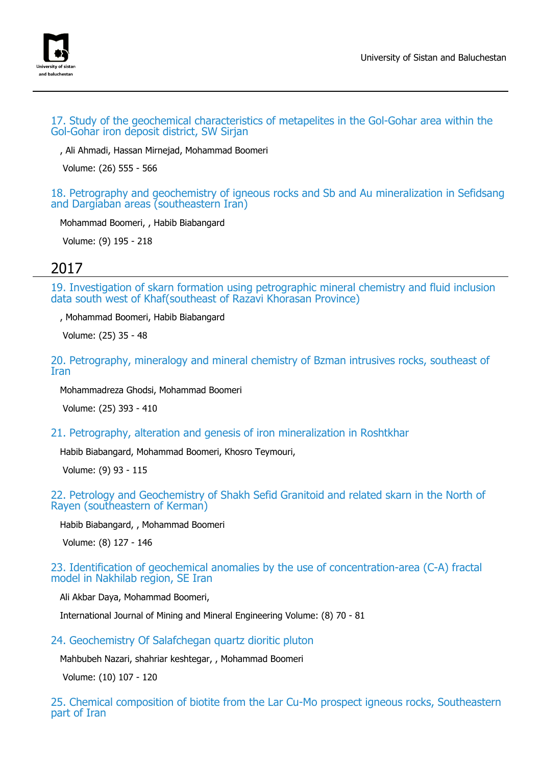

#### 17. Study of the geochemical characteristics of metapelites in the Gol-Gohar area within the Gol-Gohar iron deposit district, SW Sirjan

, Ali Ahmadi, Hassan Mirnejad, Mohammad Boomeri

Volume: (26) 555 - 566

18. Petrography and geochemistry of igneous rocks and Sb and Au mineralization in Sefidsang and Dargiaban areas (southeastern Iran)

Mohammad Boomeri, , Habib Biabangard

Volume: (9) 195 - 218

## 2017

19. Investigation of skarn formation using petrographic mineral chemistry and fluid inclusion data south west of Khaf(southeast of Razavi Khorasan Province)

, Mohammad Boomeri, Habib Biabangard

Volume: (25) 35 - 48

20. Petrography, mineralogy and mineral chemistry of Bzman intrusives rocks, southeast of Iran

Mohammadreza Ghodsi, Mohammad Boomeri

Volume: (25) 393 - 410

21. Petrography, alteration and genesis of iron mineralization in Roshtkhar

Habib Biabangard, Mohammad Boomeri, Khosro Teymouri,

Volume: (9) 93 - 115

#### 22. Petrology and Geochemistry of Shakh Sefid Granitoid and related skarn in the North of Rayen (southeastern of Kerman)

Habib Biabangard, , Mohammad Boomeri

Volume: (8) 127 - 146

23. Identification of geochemical anomalies by the use of concentration-area (C-A) fractal model in Nakhilab region, SE Iran

Ali Akbar Daya, Mohammad Boomeri,

International Journal of Mining and Mineral Engineering Volume: (8) 70 - 81

### 24. Geochemistry Of Salafchegan quartz dioritic pluton

Mahbubeh Nazari, shahriar keshtegar, , Mohammad Boomeri

Volume: (10) 107 - 120

25. Chemical composition of biotite from the Lar Cu-Mo prospect igneous rocks, Southeastern part of Iran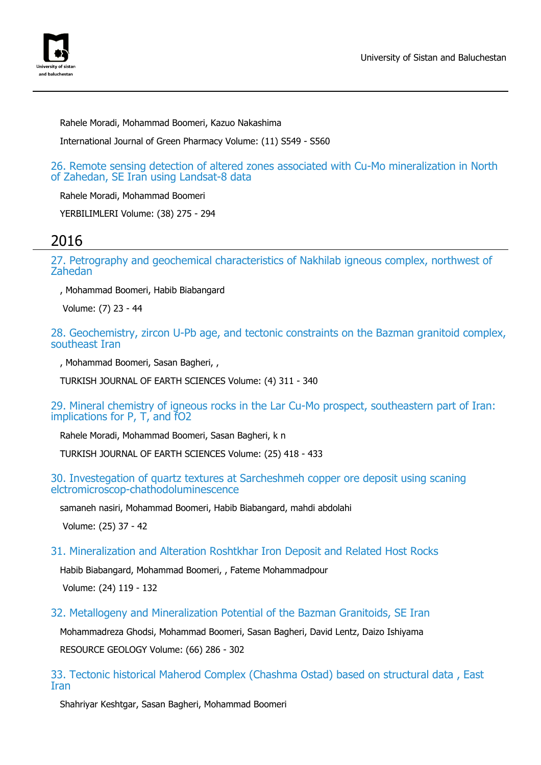

Rahele Moradi, Mohammad Boomeri, Kazuo Nakashima

International Journal of Green Pharmacy Volume: (11) S549 - S560

26. Remote sensing detection of altered zones associated with Cu-Mo mineralization in North of Zahedan, SE Iran using Landsat-8 data

Rahele Moradi, Mohammad Boomeri

YERBILIMLERI Volume: (38) 275 - 294

## 2016

27. Petrography and geochemical characteristics of Nakhilab igneous complex, northwest of Zahedan

, Mohammad Boomeri, Habib Biabangard

Volume: (7) 23 - 44

28. Geochemistry, zircon U-Pb age, and tectonic constraints on the Bazman granitoid complex, southeast Iran

, Mohammad Boomeri, Sasan Bagheri, ,

TURKISH JOURNAL OF EARTH SCIENCES Volume: (4) 311 - 340

29. Mineral chemistry of igneous rocks in the Lar Cu-Mo prospect, southeastern part of Iran: implications for P, T, and fO2

Rahele Moradi, Mohammad Boomeri, Sasan Bagheri, k n

TURKISH JOURNAL OF EARTH SCIENCES Volume: (25) 418 - 433

30. Investegation of quartz textures at Sarcheshmeh copper ore deposit using scaning elctromicroscop-chathodoluminescence

samaneh nasiri, Mohammad Boomeri, Habib Biabangard, mahdi abdolahi

Volume: (25) 37 - 42

#### 31. Mineralization and Alteration Roshtkhar Iron Deposit and Related Host Rocks

Habib Biabangard, Mohammad Boomeri, , Fateme Mohammadpour

Volume: (24) 119 - 132

32. Metallogeny and Mineralization Potential of the Bazman Granitoids, SE Iran

Mohammadreza Ghodsi, Mohammad Boomeri, Sasan Bagheri, David Lentz, Daizo Ishiyama RESOURCE GEOLOGY Volume: (66) 286 - 302

33. Tectonic historical Maherod Complex (Chashma Ostad) based on structural data , East Iran

Shahriyar Keshtgar, Sasan Bagheri, Mohammad Boomeri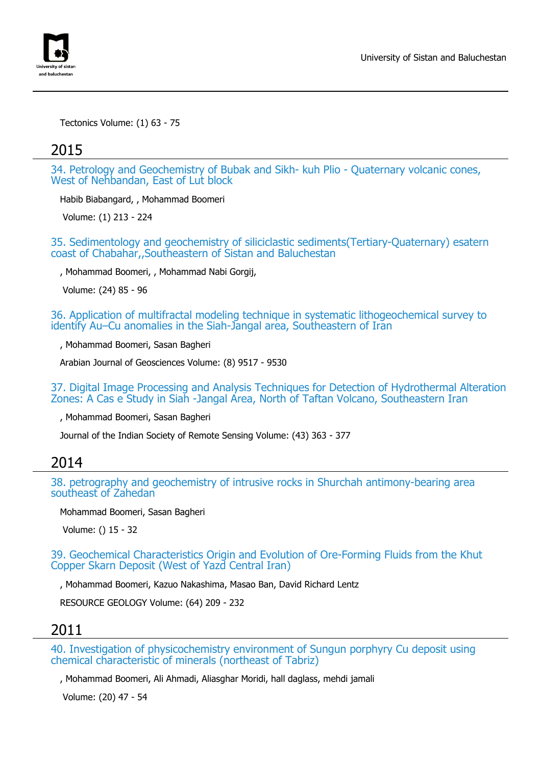

Tectonics Volume: (1) 63 - 75

### 2015

34. Petrology and Geochemistry of Bubak and Sikh- kuh Plio - Quaternary volcanic cones, West of Nehbandan, East of Lut block

Habib Biabangard, , Mohammad Boomeri

Volume: (1) 213 - 224

35. Sedimentology and geochemistry of siliciclastic sediments(Tertiary-Quaternary) esatern coast of Chabahar,,Southeastern of Sistan and Baluchestan

, Mohammad Boomeri, , Mohammad Nabi Gorgij,

Volume: (24) 85 - 96

36. Application of multifractal modeling technique in systematic lithogeochemical survey to identify Au–Cu anomalies in the Siah-Jangal area, Southeastern of Iran

, Mohammad Boomeri, Sasan Bagheri

Arabian Journal of Geosciences Volume: (8) 9517 - 9530

37. Digital Image Processing and Analysis Techniques for Detection of Hydrothermal Alteration Zones: A Cas e Study in Siah -Jangal Area, North of Taftan Volcano, Southeastern Iran

, Mohammad Boomeri, Sasan Bagheri

Journal of the Indian Society of Remote Sensing Volume: (43) 363 - 377

## 2014

38. petrography and geochemistry of intrusive rocks in Shurchah antimony-bearing area southeast of Zahedan

Mohammad Boomeri, Sasan Bagheri

Volume: () 15 - 32

39. Geochemical Characteristics Origin and Evolution of Ore-Forming Fluids from the Khut Copper Skarn Deposit (West of Yazd Central Iran)

, Mohammad Boomeri, Kazuo Nakashima, Masao Ban, David Richard Lentz

RESOURCE GEOLOGY Volume: (64) 209 - 232

## 2011

40. Investigation of physicochemistry environment of Sungun porphyry Cu deposit using chemical characteristic of minerals (northeast of Tabriz)

, Mohammad Boomeri, Ali Ahmadi, Aliasghar Moridi, hall daglass, mehdi jamali

Volume: (20) 47 - 54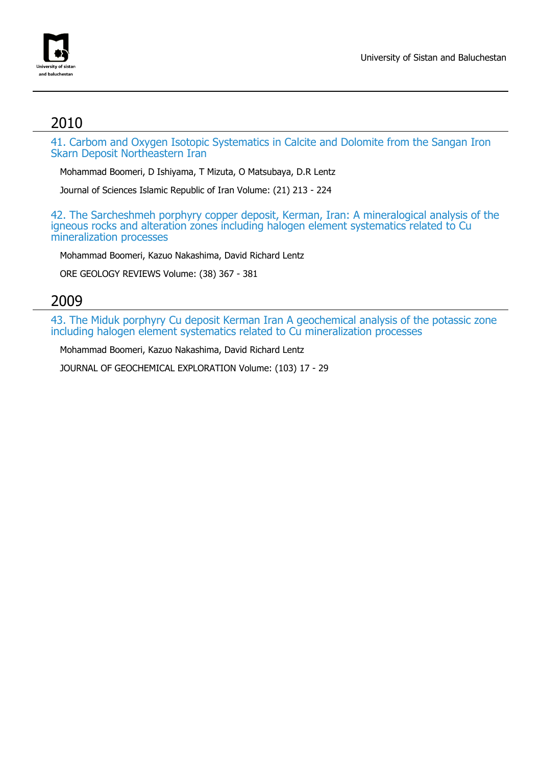

# 2010

41. Carbom and Oxygen Isotopic Systematics in Calcite and Dolomite from the Sangan Iron Skarn Deposit Northeastern Iran

Mohammad Boomeri, D Ishiyama, T Mizuta, O Matsubaya, D.R Lentz

Journal of Sciences Islamic Republic of Iran Volume: (21) 213 - 224

42. The Sarcheshmeh porphyry copper deposit, Kerman, Iran: A mineralogical analysis of the igneous rocks and alteration zones including halogen element systematics related to Cu mineralization processes

Mohammad Boomeri, Kazuo Nakashima, David Richard Lentz

ORE GEOLOGY REVIEWS Volume: (38) 367 - 381

### 2009

43. The Miduk porphyry Cu deposit Kerman Iran A geochemical analysis of the potassic zone including halogen element systematics related to Cu mineralization processes

Mohammad Boomeri, Kazuo Nakashima, David Richard Lentz

JOURNAL OF GEOCHEMICAL EXPLORATION Volume: (103) 17 - 29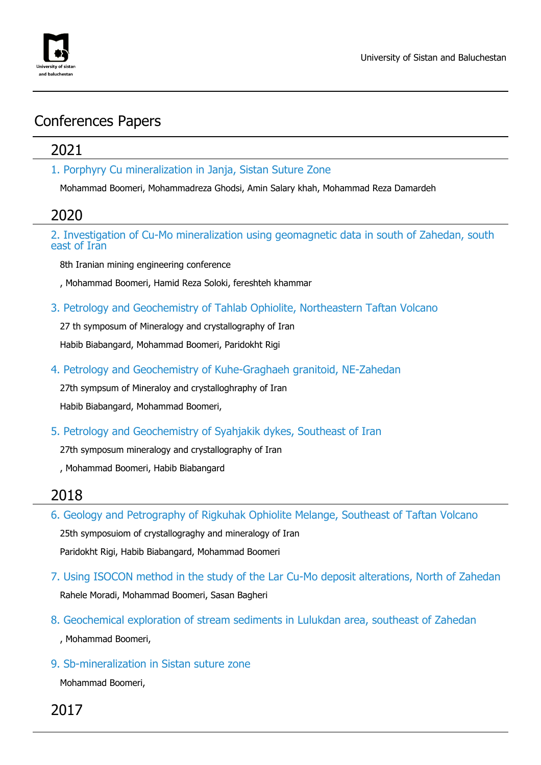

## Conferences Papers

## 2021

1. Porphyry Cu mineralization in Janja, Sistan Suture Zone

Mohammad Boomeri, Mohammadreza Ghodsi, Amin Salary khah, Mohammad Reza Damardeh

## 2020

2. Investigation of Cu-Mo mineralization using geomagnetic data in south of Zahedan, south east of Iran

8th Iranian mining engineering conference

, Mohammad Boomeri, Hamid Reza Soloki, fereshteh khammar

3. Petrology and Geochemistry of Tahlab Ophiolite, Northeastern Taftan Volcano

27 th symposum of Mineralogy and crystallography of Iran

Habib Biabangard, Mohammad Boomeri, Paridokht Rigi

4. Petrology and Geochemistry of Kuhe-Graghaeh granitoid, NE-Zahedan

27th sympsum of Mineraloy and crystalloghraphy of Iran

Habib Biabangard, Mohammad Boomeri,

5. Petrology and Geochemistry of Syahjakik dykes, Southeast of Iran

27th symposum mineralogy and crystallography of Iran

, Mohammad Boomeri, Habib Biabangard

## 2018

6. Geology and Petrography of Rigkuhak Ophiolite Melange, Southeast of Taftan Volcano 25th symposuiom of crystallograghy and mineralogy of Iran Paridokht Rigi, Habib Biabangard, Mohammad Boomeri

- 7. Using ISOCON method in the study of the Lar Cu-Mo deposit alterations, North of Zahedan Rahele Moradi, Mohammad Boomeri, Sasan Bagheri
- 8. Geochemical exploration of stream sediments in Lulukdan area, southeast of Zahedan , Mohammad Boomeri,
- 9. Sb-mineralization in Sistan suture zone Mohammad Boomeri,

2017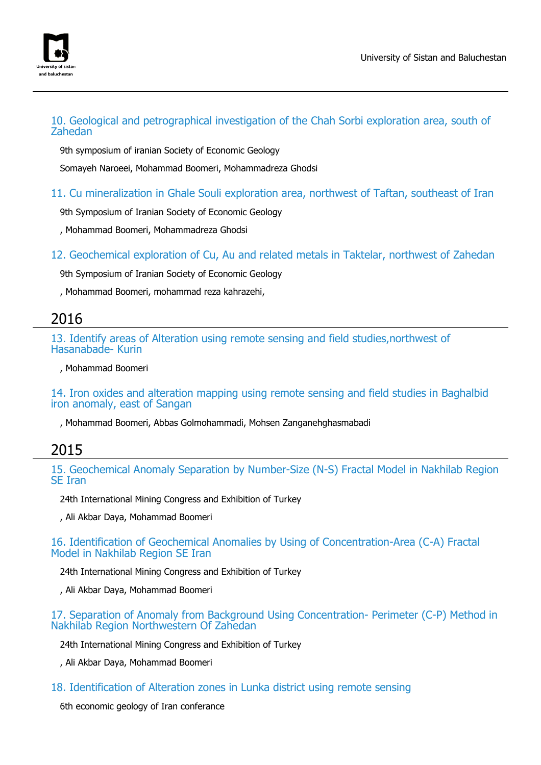

### 10. Geological and petrographical investigation of the Chah Sorbi exploration area, south of Zahedan

9th symposium of iranian Society of Economic Geology

Somayeh Naroeei, Mohammad Boomeri, Mohammadreza Ghodsi

### 11. Cu mineralization in Ghale Souli exploration area, northwest of Taftan, southeast of Iran

9th Symposium of Iranian Society of Economic Geology

, Mohammad Boomeri, Mohammadreza Ghodsi

12. Geochemical exploration of Cu, Au and related metals in Taktelar, northwest of Zahedan

9th Symposium of Iranian Society of Economic Geology

, Mohammad Boomeri, mohammad reza kahrazehi,

### 2016

13. Identify areas of Alteration using remote sensing and field studies,northwest of Hasanabade- Kurin

, Mohammad Boomeri

14. Iron oxides and alteration mapping using remote sensing and field studies in Baghalbid iron anomaly, east of Sangan

, Mohammad Boomeri, Abbas Golmohammadi, Mohsen Zanganehghasmabadi

### 2015

15. Geochemical Anomaly Separation by Number-Size (N-S) Fractal Model in Nakhilab Region SE Iran

24th International Mining Congress and Exhibition of Turkey

, Ali Akbar Daya, Mohammad Boomeri

16. Identification of Geochemical Anomalies by Using of Concentration-Area (C-A) Fractal Model in Nakhilab Region SE Iran

24th International Mining Congress and Exhibition of Turkey

, Ali Akbar Daya, Mohammad Boomeri

#### 17. Separation of Anomaly from Background Using Concentration- Perimeter (C-P) Method in Nakhilab Region Northwestern Of Zahedan

24th International Mining Congress and Exhibition of Turkey

, Ali Akbar Daya, Mohammad Boomeri

18. Identification of Alteration zones in Lunka district using remote sensing

6th economic geology of Iran conferance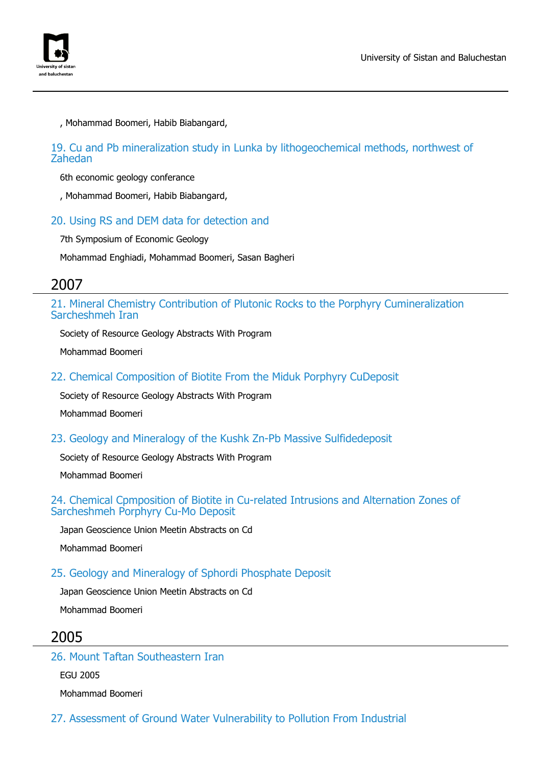

, Mohammad Boomeri, Habib Biabangard,

### 19. Cu and Pb mineralization study in Lunka by lithogeochemical methods, northwest of Zahedan

6th economic geology conferance

, Mohammad Boomeri, Habib Biabangard,

### 20. Using RS and DEM data for detection and

7th Symposium of Economic Geology

Mohammad Enghiadi, Mohammad Boomeri, Sasan Bagheri

### 2007

21. Mineral Chemistry Contribution of Plutonic Rocks to the Porphyry Cumineralization Sarcheshmeh Iran

Society of Resource Geology Abstracts With Program

Mohammad Boomeri

22. Chemical Composition of Biotite From the Miduk Porphyry CuDeposit

Society of Resource Geology Abstracts With Program

Mohammad Boomeri

23. Geology and Mineralogy of the Kushk Zn-Pb Massive Sulfidedeposit

Society of Resource Geology Abstracts With Program

Mohammad Boomeri

#### 24. Chemical Cpmposition of Biotite in Cu-related Intrusions and Alternation Zones of Sarcheshmeh Porphyry Cu-Mo Deposit

Japan Geoscience Union Meetin Abstracts on Cd

Mohammad Boomeri

### 25. Geology and Mineralogy of Sphordi Phosphate Deposit

Japan Geoscience Union Meetin Abstracts on Cd Mohammad Boomeri

### 2005

#### 26. Mount Taftan Southeastern Iran

EGU 2005

Mohammad Boomeri

27. Assessment of Ground Water Vulnerability to Pollution From Industrial